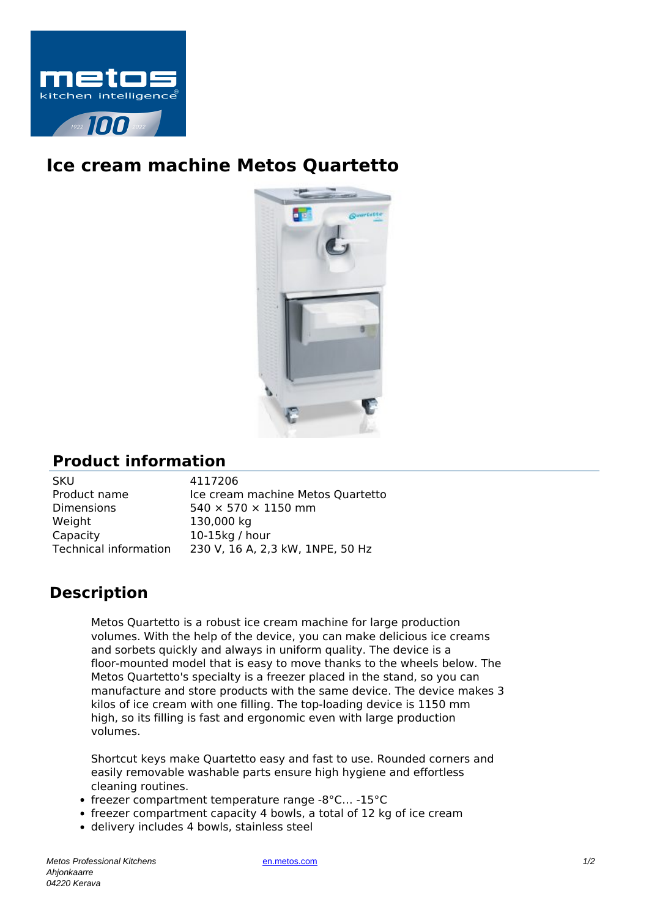

## **Ice cream machine Metos Quartetto**



## **Product information**

SKU 4117206<br>Product name lce crean Weight 130,000 kg Capacity 10-15kg / hour

Ice cream machine Metos Quartetto Dimensions  $540 \times 570 \times 1150$  mm Technical information 230 V, 16 A, 2,3 kW, 1NPE, 50 Hz

## **Description**

Metos Quartetto is a robust ice cream machine for large production volumes. With the help of the device, you can make delicious ice creams and sorbets quickly and always in uniform quality. The device is a floor-mounted model that is easy to move thanks to the wheels below. The Metos Quartetto's specialty is a freezer placed in the stand, so you can manufacture and store products with the same device. The device makes 3 kilos of ice cream with one filling. The top-loading device is 1150 mm high, so its filling is fast and ergonomic even with large production volumes.

Shortcut keys make Quartetto easy and fast to use. Rounded corners and easily removable washable parts ensure high hygiene and effortless cleaning routines.

- freezer compartment temperature range -8°C… -15°C
- freezer compartment capacity 4 bowls, a total of 12 kg of ice cream
- delivery includes 4 bowls, stainless steel